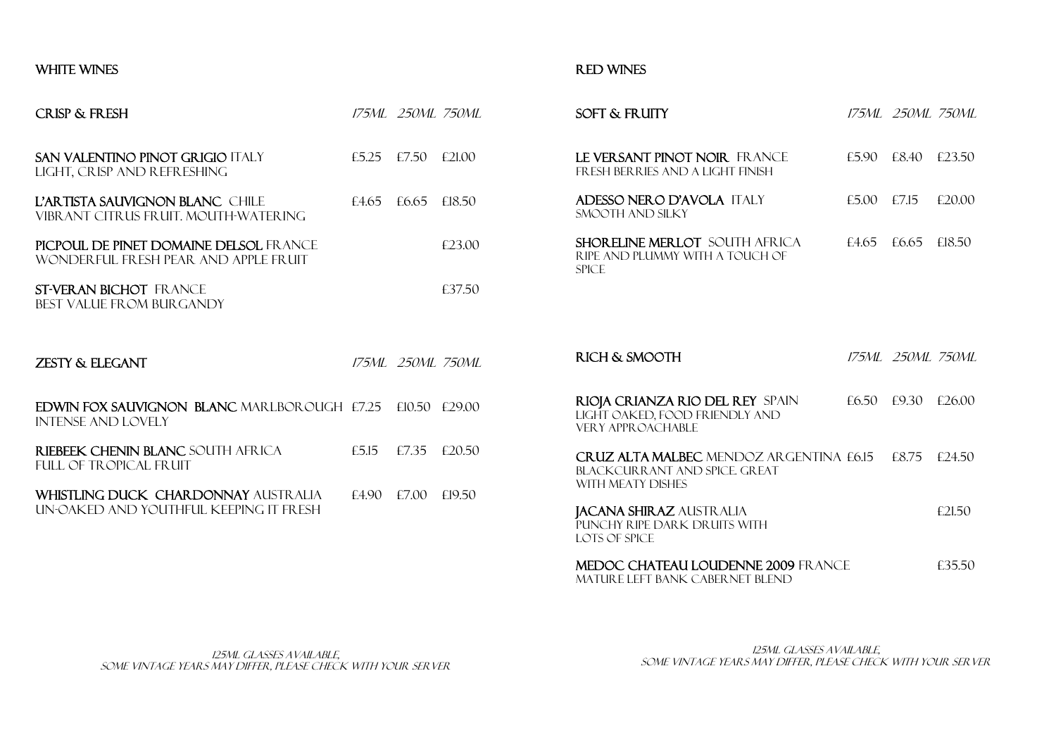#### WHITE WINES

#### Red Wines

| <b>CRISP &amp; FRESH</b>                                                               |       |                    | 175ML 250ML 750ML | <b>SOFT &amp; FRUITY</b>                                                                             |       |             | 175ML 250ML 750ML |
|----------------------------------------------------------------------------------------|-------|--------------------|-------------------|------------------------------------------------------------------------------------------------------|-------|-------------|-------------------|
| <b>SAN VALENTINO PINOT GRIGIO ITALY</b><br>LIGHT, CRISP AND REFRESHING                 |       | £5.25 £7.50 £21.00 |                   | LE VERSANT PINOT NOIR FRANCE<br>FRESH BERRIES AND A LIGHT FINISH                                     |       | £5.90 £8.40 | £23.50            |
| L'ARTISTA SAUVIGNON BLANC CHILE<br>VIBRANT CITRUS FRUIT. MOUTH-WATERING                | £4.65 | £6.65 £18.50       |                   | ADESSO NERO D'AVOLA ITALY<br>SMOOTH AND SILKY                                                        | £5.00 | £7.15       | £20.00            |
| PICPOUL DE PINET DOMAINE DELSOL FRANCE<br>WONDERFUL FRESH PEAR AND APPLE FRUIT         |       |                    | £23.00            | <b>SHORELINE MERLOT SOUTH AFRICA</b><br>RIPE AND PLUMMY WITH A TOUCH OF<br><b>SPICE</b>              | £4.65 | £6.65       | £18.50            |
| <b>ST-VERAN BICHOT FRANCE</b><br><b>BEST VALUE FROM BURGANDY</b>                       |       |                    | £37.50            |                                                                                                      |       |             |                   |
| <b>ZESTY &amp; ELEGANT</b>                                                             |       | 175ML 250ML 750ML  |                   | <b>RICH &amp; SMOOTH</b>                                                                             |       |             | 175ML 250ML 750ML |
| EDWIN FOX SAUVIGNON BLANC MARLBOROUGH £7.25 £10.50 £29.00<br><b>INTENSE AND LOVELY</b> |       |                    |                   | RIOJA CRIANZA RIO DEL REY SPAIN<br>LIGHT OAKED, FOOD FRIENDLY AND<br><b>VERY APPROACHABLE</b>        | £6.50 | £9.30       | £26.00            |
| <b>RIEBEEK CHENIN BLANC SOUTH AFRICA</b><br>FULL OF TROPICAL FRUIT                     | £5.15 |                    | £7.35 £20.50      | <b>CRUZ ALTA MALBEC</b> MENDOZ ARGENTINA £6.15<br>BLACKCURRANT AND SPICE. GREAT                      |       | £8.75       | £24.50            |
| WHISTLING DUCK CHARDONNAY AUSTRALIA<br>UN-OAKED AND YOUTHFUL KEEPING IT FRESH          |       | £7.00 £19.50       |                   | WITH MEATY DISHES<br><b>JACANA SHIRAZ AUSTRALIA</b><br>PUNCHY RIPE DARK DRUITS WITH<br>LOTS OF SPICE |       |             | £21.50            |
|                                                                                        |       |                    |                   | MEDOC CHATEAU LOUDENNE 2009 FRANCE<br>MATURE LEFT BANK CABERNET BLEND                                |       |             | £35.50            |

125ML GLASSES AVAILABLE, SOME VINTAGE YEARS MAY DIFFER, PLEASE CHECK WITH YOUR SERVER

125ML GLASSES AVAILABLE, SOME VINTAGE YEARS MAY DIFFER, PLEASE CHECK WITH YOUR SERVER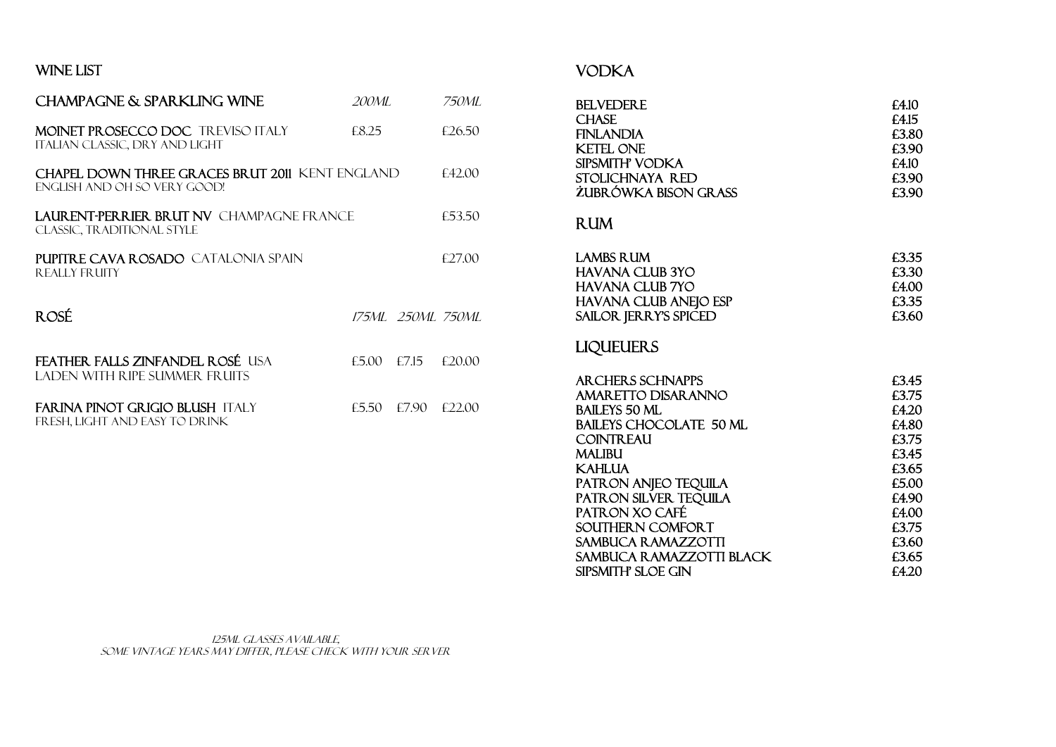## Wine List

| CHAMPAGNE & SPARKLING WINE                                                             | $200$ <i>ML</i> |                   | 750ML  |  |
|----------------------------------------------------------------------------------------|-----------------|-------------------|--------|--|
| <b>MOINET PROSECCO DOC TREVISO ITALY</b><br>ITALIAN CLASSIC, DRY AND LIGHT             | £8.25           |                   | £26.50 |  |
| <b>CHAPEL DOWN THREE GRACES BRUT 2011</b> KENT ENGLAND<br>ENGLISH AND OH SO VERY GOOD! |                 |                   | £42.00 |  |
| <b>LAURENT-PERRIER BRUT NV</b> CHAMPAGNE FRANCE<br>CLASSIC, TRADITIONAL STYLE          |                 |                   | £53.50 |  |
| <b>PUPITRE CAVA ROSADO CATALONIA SPAIN</b><br>REALLY FRUITY                            |                 |                   | £27.00 |  |
| ROSÉ                                                                                   |                 | 175ML 250ML 750ML |        |  |
| <b>FEATHER FALLS ZINFANDEL ROSÉ USA</b><br>LADEN WITH RIPE SUMMER FRUITS               |                 | £5.00 £7.15       | £20.00 |  |
| <b>FARINA PINOT GRIGIO BLUSH ITALY</b><br>FRESH, LIGHT AND EASY TO DRINK               | £5.50           | £7.90             | £22.00 |  |

## **VODKA**

| <b>BELVEDERE</b>               | £4.10 |
|--------------------------------|-------|
| <b>CHASE</b>                   | £4.15 |
| <b>FINLANDIA</b>               | £3.80 |
| <b>KETEL ONE</b>               | £3.90 |
| SIPSMITH' VODKA                | £4.10 |
| STOLICHNAYA RED                | £3.90 |
| ŻUBRÓWKA BISON GRASS           | £3.90 |
| <b>RUM</b>                     |       |
| <b>LAMBS RUM</b>               | £3.35 |
| <b>HAVANA CLUB 3YO</b>         | £3.30 |
| <b>HAVANA CLUB 7YO</b>         | £4.00 |
| <b>HAVANA CLUB ANEJO ESP</b>   | £3.35 |
| <b>SAILOR JERRY'S SPICED</b>   | £3.60 |
| <b>LIQUEUERS</b>               |       |
| <b>ARCHERS SCHNAPPS</b>        | £3.45 |
| AMARETTO DISARANNO             | £3.75 |
| <b>BAILEYS 50 ML</b>           | £4.20 |
| <b>BAILEYS CHOCOLATE 50 ML</b> | £4.80 |
| <b>COINTREAU</b>               | £3.75 |
| <b>MALIBU</b>                  | £3.45 |
| <b>KAHLUA</b>                  | £3.65 |
| PATRON ANJEO TEQUILA           | £5.00 |
| PATRON SILVER TEQUILA          | £4.90 |
| PATRON XO CAFÉ                 | £4.00 |
| SOUTHERN COMFORT               | £3.75 |
| SAMBUCA RAMAZZOTTI             | £3.60 |
| SAMBUCA RAMAZZOTTI BLACK       | £3.65 |
| SIPSMITH' SLOE GIN             | £4.20 |

125ML GLASSES AVAILABLE, SOME VINTAGE YEARS MAY DIFFER, PLEASE CHECK WITH YOUR SERVER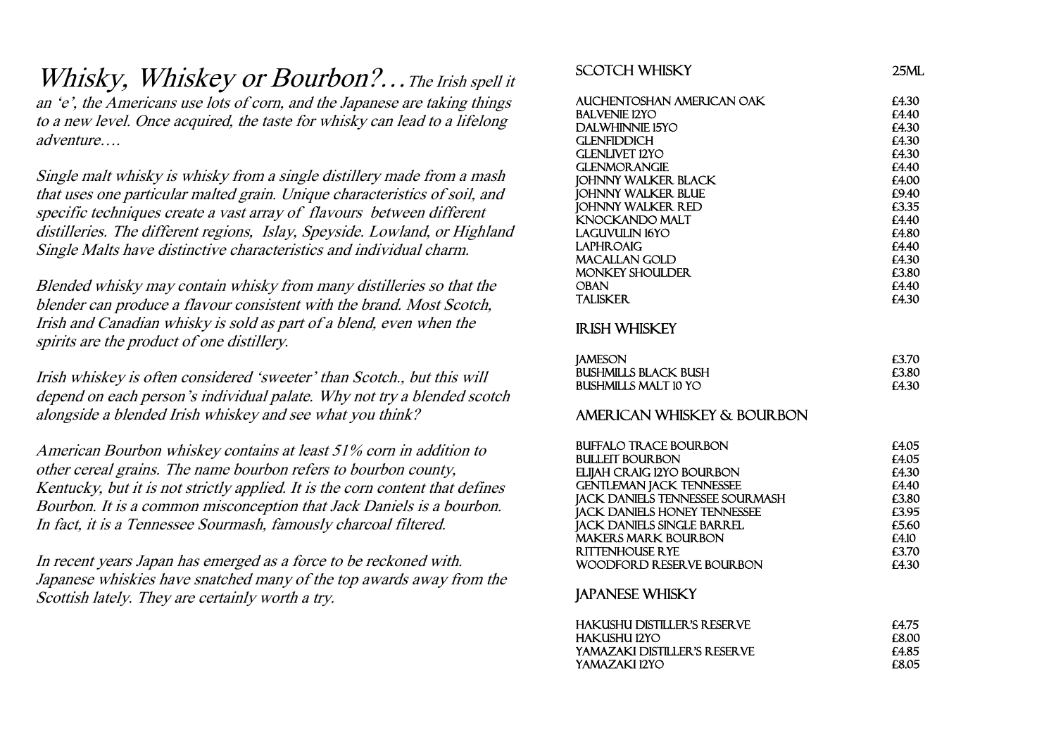Whisky, Whiskey or Bourbon?... The Irish spell it an 'e', the Americans use lots of corn, and the Japanese are taking things to a new level. Once acquired, the taste for whisky can lead to a lifelong adventure….

[Single malt whisky](http://en.wikipedia.org/wiki/Single_malt_whisky) is whisky from a single distillery made from a mash that uses one particular malted grain. Unique characteristics of soil, and specific techniques create a vast array of flavours between different distilleries. The different regions, Islay, Speyside. Lowland, or Highland Single Malts have distinctive characteristics and individual charm.

[Blended whisky](http://en.wikipedia.org/wiki/Blended_whisky) may contain whisky from many distilleries so that the blender can produce a flavour consistent with the brand. Most Scotch, Irish and Canadian whisky is sold as part of a blend, even when the spirits are the product of one distillery.

Irish whiskey is often considered 'sweeter' than Scotch., but this will depend on each person's individual palate. Why not try a blended scotch alongside a blended Irish whiskey and see what you think?

American Bourbon whiskey contains at least 51% corn in addition to other cereal grains. The name bourbon refers to bourbon county, Kentucky, but it is not strictly applied. It is the corn content that defines Bourbon. It is a common misconception that Jack Daniels is a bourbon. In fact, it is a Tennessee Sourmash, famously charcoal filtered.

In recent years Japan has emerged as a force to be reckoned with. Japanese whiskies have snatched many of the top awards away from the Scottish lately. They are certainly worth a try.

| <b>SCOTCH WHISKY</b>               | 25ML           |
|------------------------------------|----------------|
| AUCHENTOSHAN AMERICAN OAK          | £4.30          |
| <b>BALVENIE 12YO</b>               | £4.40          |
| DALWHINNIE 15YO                    | £4.30          |
| <b><i>CLENFIDDICH</i></b>          | £4.30          |
| CLENLIVET 12YO                     | £4.30          |
| <b>GLENMORANGIE</b>                | £4.40          |
| <b>JOHNNY WALKER BLACK</b>         | £4.00          |
| <b>JOHNNY WALKER BLUE</b>          | £9.40          |
| <b>JOHNNY WALKER RED</b>           | £3.35          |
| KNOCKANDO MALT                     | £4.40<br>£4.80 |
| LAGUVULIN 16YO<br><b>LAPHROAIG</b> | £4.40          |
| <b>MACALLAN GOLD</b>               | £4.30          |
| <b>MONKEY SHOULDER</b>             | £3.80          |
| <b>OBAN</b>                        | £4.40          |
| TAI ISKER                          | £4.30          |
|                                    |                |
| <b>IRISH WHISKEY</b>               |                |
| <b>JAMESON</b>                     | £3.70          |
| BUSHMILLS BLACK BUSH               | £3.80          |
| <b>BUSHMILLS MALT 10 YO</b>        | £4.30          |
|                                    |                |
| AMERICAN WHISKEY & BOURBON         |                |
|                                    |                |

| <b>BUFFALO TRACE BOURBON</b>           | £4.05 |
|----------------------------------------|-------|
| <b>BULLEIT BOURBON</b>                 | £4.05 |
| ELIJAH CRAIG 12YO BOURBON              | £4.30 |
| <b>GENTLEMAN JACK TENNESSEE</b>        | £4.40 |
| <b>JACK DANIELS TENNESSEE SOURMASH</b> | £3.80 |
| <b>JACK DANIELS HONEY TENNESSEE</b>    | £3.95 |
| JACK DANIELS SINGLE BARREL             | £5.60 |
| <b>MAKERS MARK BOURBON</b>             | £4.10 |
| <b>RITTENHOUSE RYE</b>                 | £3.70 |
| WOODFORD RESERVE BOURBON               | £4.30 |
| <b>JAPANESE WHISKY</b>                 |       |

| HAKUSHU DISTILLER'S RESERVE  | F4.75  |
|------------------------------|--------|
| - HAKUSHU 12YO               | -68.00 |
| YAMAZAKI DISTILLER'S RESERVE | £485   |
| YAMAZAKI 12YO                | -68.05 |